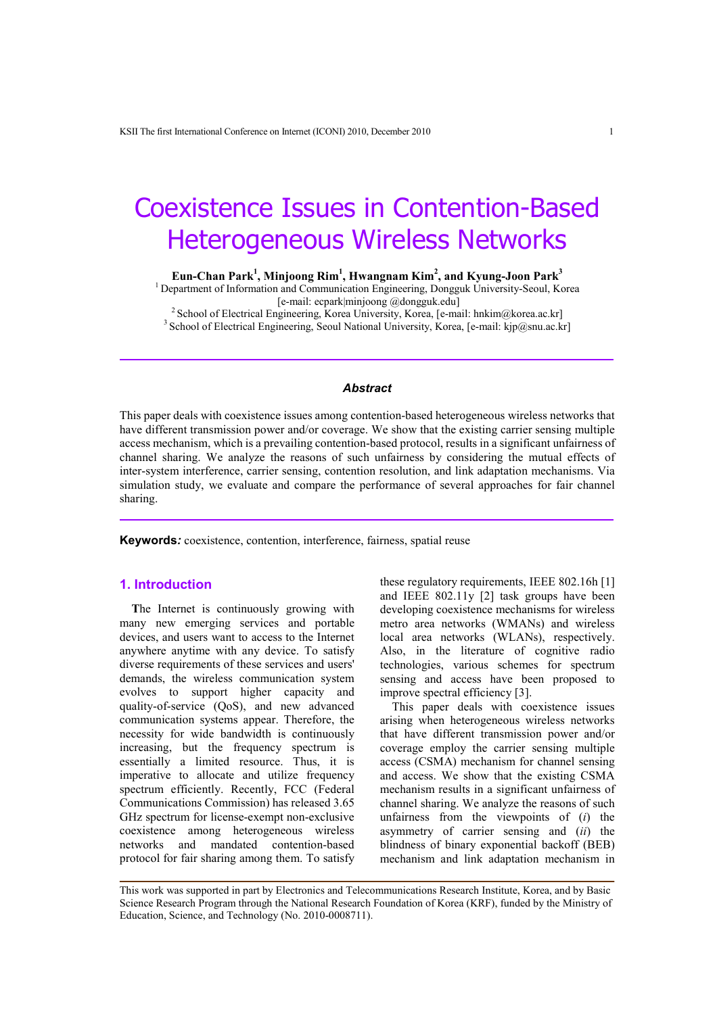# Coexistence Issues in Contention-Based Heterogeneous Wireless Networks

**Eun-Chan Park<sup>1</sup> , Minjoong Rim<sup>1</sup> , Hwangnam Kim<sup>2</sup> , and Kyung-Joon Park<sup>3</sup>**

<sup>1</sup> Department of Information and Communication Engineering, Dongguk University-Seoul, Korea [e-mail: ecpark|minjoong @dongguk.edu]

<sup>2</sup> School of Electrical Engineering, Korea University, Korea, [e-mail: hnki[m@korea.ac.kr](mailto:t.m.chen@swansea.ac.uk)] <sup>3</sup> School of Electrical Engineering, Seoul National University, Korea, [e-mail: kjp@snu.ac.kr]

# *Abstract*

This paper deals with coexistence issues among contention-based heterogeneous wireless networks that have different transmission power and/or coverage. We show that the existing carrier sensing multiple access mechanism, which is a prevailing contention-based protocol, results in a significant unfairness of channel sharing. We analyze the reasons of such unfairness by considering the mutual effects of inter-system interference, carrier sensing, contention resolution, and link adaptation mechanisms. Via simulation study, we evaluate and compare the performance of several approaches for fair channel sharing.

**Keywords***:* coexistence, contention, interference, fairness, spatial reuse

# **1. Introduction**

**T**he Internet is continuously growing with many new emerging services and portable devices, and users want to access to the Internet anywhere anytime with any device. To satisfy diverse requirements of these services and users' demands, the wireless communication system evolves to support higher capacity and quality-of-service (QoS), and new advanced communication systems appear. Therefore, the necessity for wide bandwidth is continuously increasing, but the frequency spectrum is essentially a limited resource. Thus, it is imperative to allocate and utilize frequency spectrum efficiently. Recently, FCC (Federal Communications Commission) has released 3.65 GHz spectrum for license-exempt non-exclusive coexistence among heterogeneous wireless networks and mandated contention-based protocol for fair sharing among them. To satisfy

these regulatory requirements, IEEE 802.16h [1] and IEEE 802.11y [2] task groups have been developing coexistence mechanisms for wireless metro area networks (WMANs) and wireless local area networks (WLANs), respectively. Also, in the literature of cognitive radio technologies, various schemes for spectrum sensing and access have been proposed to improve spectral efficiency [3].

This paper deals with coexistence issues arising when heterogeneous wireless networks that have different transmission power and/or coverage employ the carrier sensing multiple access (CSMA) mechanism for channel sensing and access. We show that the existing CSMA mechanism results in a significant unfairness of channel sharing. We analyze the reasons of such unfairness from the viewpoints of (*i*) the asymmetry of carrier sensing and (*ii*) the blindness of binary exponential backoff (BEB) mechanism and link adaptation mechanism in

This work was supported in part by Electronics and Telecommunications Research Institute, Korea, and by Basic Science Research Program through the National Research Foundation of Korea (KRF), funded by the Ministry of Education, Science, and Technology (No. 2010-0008711).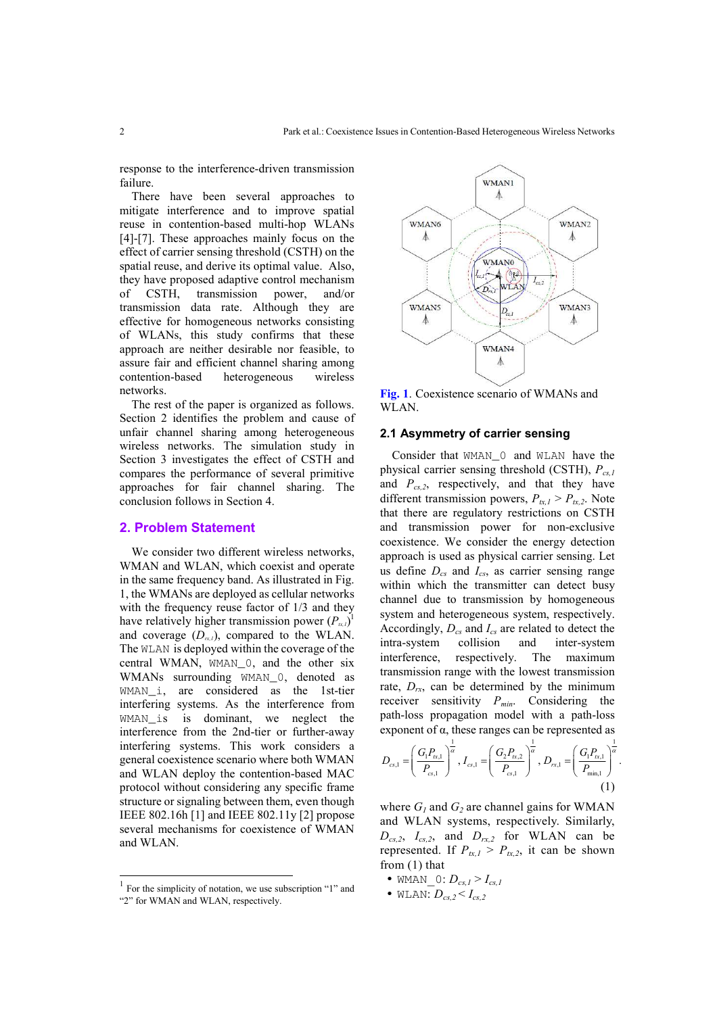response to the interference-driven transmission failure.

There have been several approaches to mitigate interference and to improve spatial reuse in contention-based multi-hop WLANs [4]-[7]. These approaches mainly focus on the effect of carrier sensing threshold (CSTH) on the spatial reuse, and derive its optimal value. Also, they have proposed adaptive control mechanism of CSTH, transmission power, and/or transmission data rate. Although they are effective for homogeneous networks consisting of WLANs, this study confirms that these approach are neither desirable nor feasible, to assure fair and efficient channel sharing among contention-based heterogeneous wireless networks.

The rest of the paper is organized as follows. Section 2 identifies the problem and cause of unfair channel sharing among heterogeneous wireless networks. The simulation study in Section 3 investigates the effect of CSTH and compares the performance of several primitive approaches for fair channel sharing. The conclusion follows in Section 4.

#### **2. Problem Statement**

We consider two different wireless networks, WMAN and WLAN, which coexist and operate in the same frequency band. As illustrated in Fig. 1, the WMANs are deployed as cellular networks with the frequency reuse factor of 1/3 and they have relatively higher transmission power  $(P_{\alpha,l})^{\text{T}}$ and coverage  $(D_{rxl})$ , compared to the WLAN. The WLAN is deployed within the coverage of the central WMAN, WMAN\_0, and the other six WMANs surrounding WMAN\_0, denoted as WMAN\_i, are considered as the 1st-tier interfering systems. As the interference from WMAN\_is is dominant, we neglect the interference from the 2nd-tier or further-away interfering systems. This work considers a general coexistence scenario where both WMAN and WLAN deploy the contention-based MAC protocol without considering any specific frame structure or signaling between them, even though IEEE 802.16h [1] and IEEE 802.11y [2] propose several mechanisms for coexistence of WMAN and WLAN.

l



**Fig. 1**. Coexistence scenario of WMANs and WLAN.

#### **2.1 Asymmetry of carrier sensing**

Consider that WMAN\_0 and WLAN have the physical carrier sensing threshold (CSTH), *Pcs,1* and *Pcs,2*, respectively, and that they have different transmission powers,  $P_{tx,1} > P_{tx,2}$ . Note that there are regulatory restrictions on CSTH and transmission power for non-exclusive coexistence. We consider the energy detection approach is used as physical carrier sensing. Let us define *Dcs* and *Ics*, as carrier sensing range within which the transmitter can detect busy channel due to transmission by homogeneous system and heterogeneous system, respectively. Accordingly, *Dcs* and *Ics* are related to detect the intra-system collision and inter-system interference, respectively. The maximum transmission range with the lowest transmission rate,  $D_{rx}$ , can be determined by the minimum receiver sensitivity *Pmin*. Considering the path-loss propagation model with a path-loss exponent of α, these ranges can be represented as

$$
D_{cs,1} = \left(\frac{G_1 P_{cs,1}}{P_{cs,1}}\right)^{\frac{1}{\alpha}}, I_{cs,1} = \left(\frac{G_2 P_{cs,2}}{P_{cs,1}}\right)^{\frac{1}{\alpha}}, D_{cs,1} = \left(\frac{G_1 P_{cs,1}}{P_{\min,1}}\right)^{\frac{1}{\alpha}}.
$$
\n(1)

where  $G_I$  and  $G_2$  are channel gains for WMAN and WLAN systems, respectively. Similarly,  $D_{cs,2}$ ,  $I_{cs,2}$ , and  $D_{rx,2}$  for WLAN can be represented. If  $P_{tx,l} > P_{tx,2}$ , it can be shown from (1) that

- WMAN  $0: D_{cs,I} > I_{cs,I}$
- $\bullet$  WLAN:  $D_{cs}$ ,  $\lt I_{cs}$ ,

<sup>&</sup>lt;sup>1</sup> For the simplicity of notation, we use subscription "1" and "2" for WMAN and WLAN, respectively.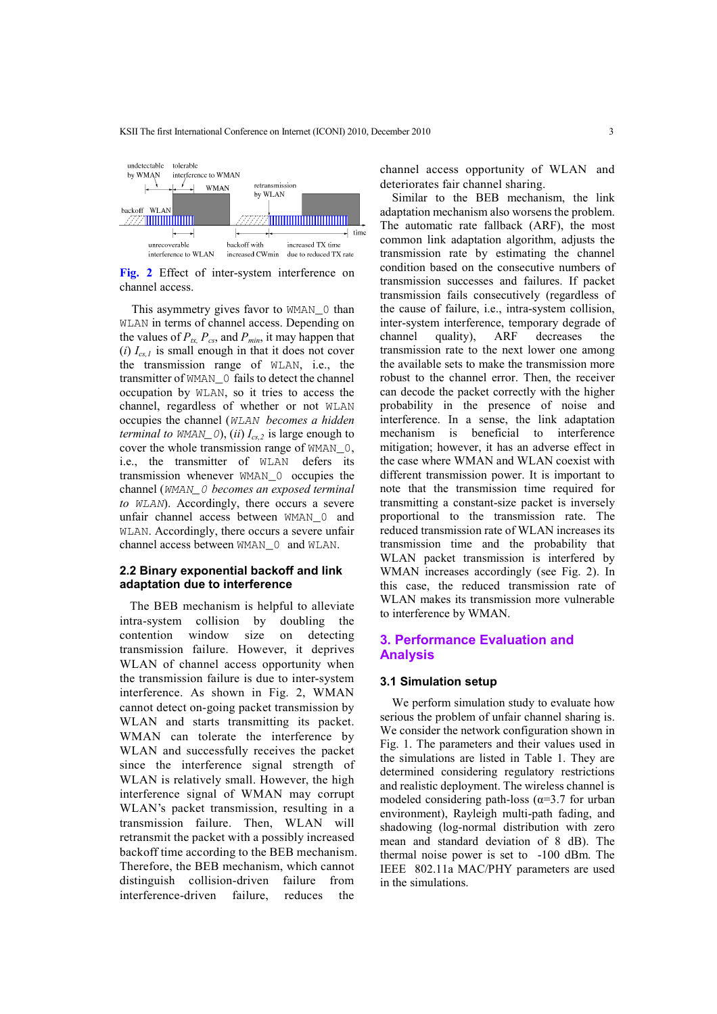

**Fig. 2** Effect of inter-system interference on channel access.

This asymmetry gives favor to WMAN\_0 than WLAN in terms of channel access. Depending on the values of  $P_{tx}$ ,  $P_{cs}$ , and  $P_{min}$ , it may happen that  $(i) I_{cs,l}$  is small enough in that it does not cover the transmission range of WLAN, i.e., the transmitter of WMAN\_0 fails to detect the channel occupation by WLAN, so it tries to access the channel, regardless of whether or not WLAN occupies the channel (WLAN *becomes a hidden terminal to WMAN\_0*), *(ii)*  $I_{cs,2}$  is large enough to cover the whole transmission range of WMAN\_0, i.e., the transmitter of WLAN defers its transmission whenever WMAN\_0 occupies the channel (WMAN\_0 *becomes an exposed terminal to* WLAN). Accordingly, there occurs a severe unfair channel access between WMAN\_0 and WLAN. Accordingly, there occurs a severe unfair channel access between WMAN\_0 and WLAN.

# **2.2 Binary exponential backoff and link adaptation due to interference**

The BEB mechanism is helpful to alleviate intra-system collision by doubling the contention window size on detecting transmission failure. However, it deprives WLAN of channel access opportunity when the transmission failure is due to inter-system interference. As shown in Fig. 2, WMAN cannot detect on-going packet transmission by WLAN and starts transmitting its packet. WMAN can tolerate the interference by WLAN and successfully receives the packet since the interference signal strength of WLAN is relatively small. However, the high interference signal of WMAN may corrupt WLAN's packet transmission, resulting in a transmission failure. Then, WLAN will retransmit the packet with a possibly increased backoff time according to the BEB mechanism. Therefore, the BEB mechanism, which cannot distinguish collision-driven failure from interference-driven failure, reduces the

channel access opportunity of WLAN and deteriorates fair channel sharing.

Similar to the BEB mechanism, the link adaptation mechanism also worsens the problem. The automatic rate fallback (ARF), the most common link adaptation algorithm, adjusts the transmission rate by estimating the channel condition based on the consecutive numbers of transmission successes and failures. If packet transmission fails consecutively (regardless of the cause of failure, i.e., intra-system collision, inter-system interference, temporary degrade of channel quality), ARF decreases the transmission rate to the next lower one among the available sets to make the transmission more robust to the channel error. Then, the receiver can decode the packet correctly with the higher probability in the presence of noise and interference. In a sense, the link adaptation mechanism is beneficial to interference mitigation; however, it has an adverse effect in the case where WMAN and WLAN coexist with different transmission power. It is important to note that the transmission time required for transmitting a constant-size packet is inversely proportional to the transmission rate. The reduced transmission rate of WLAN increases its transmission time and the probability that WLAN packet transmission is interfered by WMAN increases accordingly (see Fig. 2). In this case, the reduced transmission rate of WLAN makes its transmission more vulnerable to interference by WMAN.

# **3. Performance Evaluation and Analysis**

#### **3.1 Simulation setup**

We perform simulation study to evaluate how serious the problem of unfair channel sharing is. We consider the network configuration shown in Fig. 1. The parameters and their values used in the simulations are listed in Table 1. They are determined considering regulatory restrictions and realistic deployment. The wireless channel is modeled considering path-loss ( $\alpha$ =3.7 for urban environment), Rayleigh multi-path fading, and shadowing (log-normal distribution with zero mean and standard deviation of 8 dB). The thermal noise power is set to -100 dBm. The IEEE 802.11a MAC/PHY parameters are used in the simulations.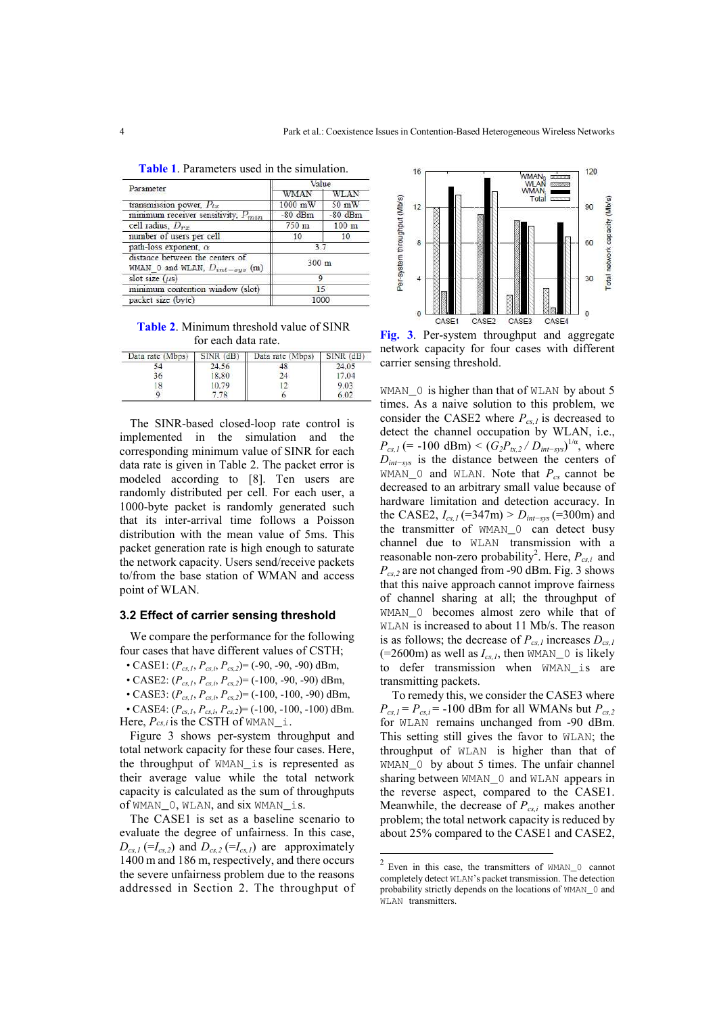| Parameter                                                             | Value     |                  |
|-----------------------------------------------------------------------|-----------|------------------|
|                                                                       | WMAN      | WLAN             |
| transmission power, $P_{tx}$                                          | 1000 mW   | 50 mW            |
| minimum receiver sensitivity, $P_{min}$                               | $-80$ dBm | $-80$ dBm        |
| cell radius, $D_{rx}$                                                 | 750 m     | 100 <sub>m</sub> |
| number of users per cell                                              | 10        | 10               |
| path-loss exponent, $\alpha$                                          | 37        |                  |
| distance between the centers of<br>WMAN 0 and WLAN, $D_{int-sys}$ (m) | 300 m     |                  |
| slot size $(\mu s)$                                                   | 9         |                  |
| minimum contention window (slot)                                      | 15        |                  |
| packet size (byte)                                                    | 1000      |                  |

**Table 1**. Parameters used in the simulation.

**Table 2**. Minimum threshold value of SINR for each data rate.

| Data rate (Mbps) | $SINR$ $(dB)$ | Data rate (Mbps) | $SINR$ $(dB)$ |
|------------------|---------------|------------------|---------------|
|                  | 24.56         |                  | '4.05         |
|                  | 18.80         | 74               | 7.04          |
|                  | 10.79         |                  | 9.03          |
|                  |               |                  |               |

The SINR-based closed-loop rate control is implemented in the simulation and the corresponding minimum value of SINR for each data rate is given in Table 2. The packet error is modeled according to [8]. Ten users are randomly distributed per cell. For each user, a 1000-byte packet is randomly generated such that its inter-arrival time follows a Poisson distribution with the mean value of 5ms. This packet generation rate is high enough to saturate the network capacity. Users send/receive packets to/from the base station of WMAN and access point of WLAN.

#### **3.2 Effect of carrier sensing threshold**

We compare the performance for the following four cases that have different values of CSTH;

• CASE1:  $(P_{cs,l}, P_{cs,i}, P_{cs,2}) = (-90, -90, -90)$  dBm,

• CASE2: (*Pcs,1*, *Pcs,i*, *Pcs,2*)= (-100, -90, -90) dBm,

• CASE3: (*Pcs,1*, *Pcs,i*, *Pcs,2*)= (-100, -100, -90) dBm, • CASE4: (*Pcs,1*, *Pcs,i*, *Pcs,2*)= (-100, -100, -100) dBm. Here,  $P_{cs,i}$  is the CSTH of WMAN<sub>\_i</sub>.

Figure 3 shows per-system throughput and total network capacity for these four cases. Here, the throughput of WMAN\_is is represented as their average value while the total network capacity is calculated as the sum of throughputs of WMAN\_0, WLAN, and six WMAN\_is.

The CASE1 is set as a baseline scenario to evaluate the degree of unfairness. In this case,  $D_{cs,1}$  (=*I*<sub>cs,2</sub>) and  $D_{cs,2}$  (=*I*<sub>cs,1</sub>) are approximately 1400 m and 186 m, respectively, and there occurs the severe unfairness problem due to the reasons addressed in Section 2. The throughput of



**Fig. 3**. Per-system throughput and aggregate network capacity for four cases with different carrier sensing threshold.

WMAN<sub>\_0</sub> is higher than that of WLAN by about 5 times. As a naive solution to this problem, we consider the CASE2 where  $P_{cs,l}$  is decreased to detect the channel occupation by WLAN, i.e.,  $P_{cs,1}$  (= -100 dBm) < ( $G_2P_{tx,2}/D_{int-sys}$ )<sup>1/α</sup>, where *Dint−sys* is the distance between the centers of WMAN<sub>-0</sub> and WLAN. Note that  $P_{cs}$  cannot be decreased to an arbitrary small value because of hardware limitation and detection accuracy. In the CASE2, *Ics,1* (=347m) > *Dint−sys* (=300m) and the transmitter of WMAN\_0 can detect busy channel due to WLAN transmission with a reasonable non-zero probability<sup>2</sup>. Here,  $P_{cs,i}$  and *Pcs,2* are not changed from -90 dBm. Fig. 3 shows that this naive approach cannot improve fairness of channel sharing at all; the throughput of WMAN\_0 becomes almost zero while that of WLAN is increased to about 11 Mb/s. The reason is as follows; the decrease of  $P_{cs,l}$  increases  $D_{cs,l}$  $(=2600m)$  as well as  $I_{cs,1}$ , then WMAN\_0 is likely to defer transmission when WMAN\_is are transmitting packets.

To remedy this, we consider the CASE3 where  $P_{cs,1} = P_{cs,i} = -100$  dBm for all WMANs but  $P_{cs,2}$ for WLAN remains unchanged from -90 dBm. This setting still gives the favor to WLAN; the throughput of WLAN is higher than that of WMAN 0 by about 5 times. The unfair channel sharing between WMAN 0 and WLAN appears in the reverse aspect, compared to the CASE1. Meanwhile, the decrease of *Pcs,i* makes another problem; the total network capacity is reduced by about 25% compared to the CASE1 and CASE2,

 $\overline{a}$ 

<sup>2</sup> Even in this case, the transmitters of WMAN\_0 cannot completely detect WLAN's packet transmission. The detection probability strictly depends on the locations of WMAN\_0 and WLAN transmitters.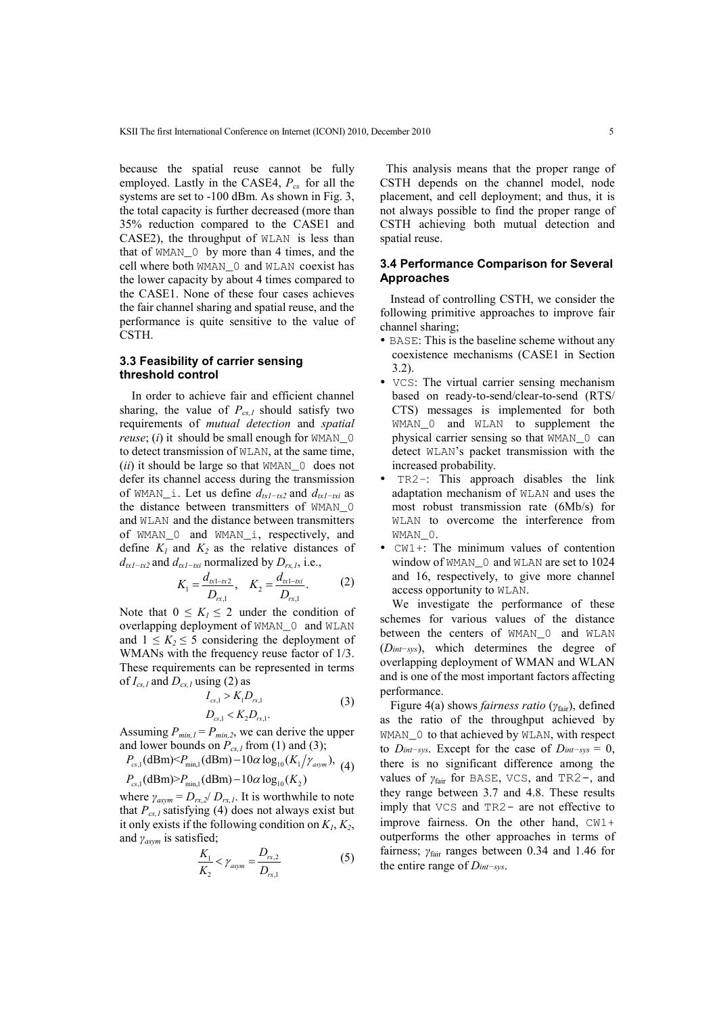because the spatial reuse cannot be fully employed. Lastly in the CASE4, *Pcs* for all the systems are set to -100 dBm. As shown in Fig. 3, the total capacity is further decreased (more than 35% reduction compared to the CASE1 and CASE2), the throughput of WLAN is less than that of WMAN\_0 by more than 4 times, and the cell where both WMAN\_0 and WLAN coexist has the lower capacity by about 4 times compared to the CASE1. None of these four cases achieves the fair channel sharing and spatial reuse, and the performance is quite sensitive to the value of CSTH.

# **3.3 Feasibility of carrier sensing threshold control**

In order to achieve fair and efficient channel sharing, the value of *Pcs,1* should satisfy two requirements of *mutual detection* and *spatial reuse*; (*i*) it should be small enough for WMAN\_0 to detect transmission of WLAN, at the same time, (*ii*) it should be large so that WMAN\_0 does not defer its channel access during the transmission of WMAN i. Let us define  $d_{tx1-tx2}$  and  $d_{tx1-tx1}$  as the distance between transmitters of WMAN\_0 and WLAN and the distance between transmitters of WMAN\_0 and WMAN\_i, respectively, and define  $K_l$  and  $K_2$  as the relative distances of  $d_{tx1-tx2}$  and  $d_{tx1-tx1}$  normalized by  $D_{rx,1}$ , i.e.,

$$
K_1 = \frac{d_{\kappa 1 - \kappa 2}}{D_{\kappa 1}}, \quad K_2 = \frac{d_{\kappa 1 - \kappa i}}{D_{\kappa 1}}.
$$
 (2)

Note that  $0 \leq K_l \leq 2$  under the condition of overlapping deployment of WMAN\_0 and WLAN and  $1 \leq K_2 \leq 5$  considering the deployment of WMANs with the frequency reuse factor of 1/3. These requirements can be represented in terms of  $I_{cs,l}$  and  $D_{cs,l}$  using (2) as

$$
I_{cs,1} > K_1 D_{rx,1}
$$
  
\n
$$
D_{cs,1} < K_2 D_{rx,1}.
$$
\n(3)

Assuming  $P_{min,l} = P_{min,2}$ , we can derive the upper and lower bounds on  $P_{cs,l}$  from (1) and (3);

$$
P_{cs,1}(\text{dBm}) < P_{\text{min},1}(\text{dBm}) - 10\alpha \log_{10}(K_1/\gamma_{\text{asym}}), \tag{4}
$$

 $P_{\text{cs,1}}(\text{dBm}) > P_{\text{min,1}}(\text{dBm}) - 10\alpha \log_{10}(K_2)$ 

where  $\gamma_{asym} = D_{rx} / D_{rx}$ . It is worthwhile to note that  $P_{cs,l}$  satisfying (4) does not always exist but it only exists if the following condition on  $K_1, K_2$ , and *γasym* is satisfied;

$$
\frac{K_1}{K_2} < \gamma_{asym} = \frac{D_{rx,2}}{D_{rx,1}}\tag{5}
$$

This analysis means that the proper range of CSTH depends on the channel model, node placement, and cell deployment; and thus, it is not always possible to find the proper range of CSTH achieving both mutual detection and spatial reuse.

# **3.4 Performance Comparison for Several Approaches**

Instead of controlling CSTH, we consider the following primitive approaches to improve fair channel sharing;

- BASE: This is the baseline scheme without any coexistence mechanisms (CASE1 in Section 3.2).
- VCS: The virtual carrier sensing mechanism based on ready-to-send/clear-to-send (RTS/ CTS) messages is implemented for both WMAN\_0 and WLAN to supplement the physical carrier sensing so that WMAN\_0 can detect WLAN's packet transmission with the increased probability.
- TR2-: This approach disables the link adaptation mechanism of WLAN and uses the most robust transmission rate (6Mb/s) for WLAN to overcome the interference from WMAN<sub>0</sub>.
- CW1+: The minimum values of contention window of WMAN\_0 and WLAN are set to 1024 and 16, respectively, to give more channel access opportunity to WLAN.

We investigate the performance of these schemes for various values of the distance between the centers of WMAN\_0 and WLAN (*Dint−sys*), which determines the degree of overlapping deployment of WMAN and WLAN and is one of the most important factors affecting performance.

Figure 4(a) shows *fairness ratio* (*γ*fair), defined as the ratio of the throughput achieved by WMAN\_0 to that achieved by WLAN, with respect to *Dint−sys*. Except for the case of *Dint−sys* = 0, there is no significant difference among the values of *γ*fair for BASE, VCS, and TR2-, and they range between 3.7 and 4.8. These results imply that VCS and TR2- are not effective to improve fairness. On the other hand, CW1+ outperforms the other approaches in terms of fairness; *γ*fair ranges between 0.34 and 1.46 for the entire range of *Dint−sys*.